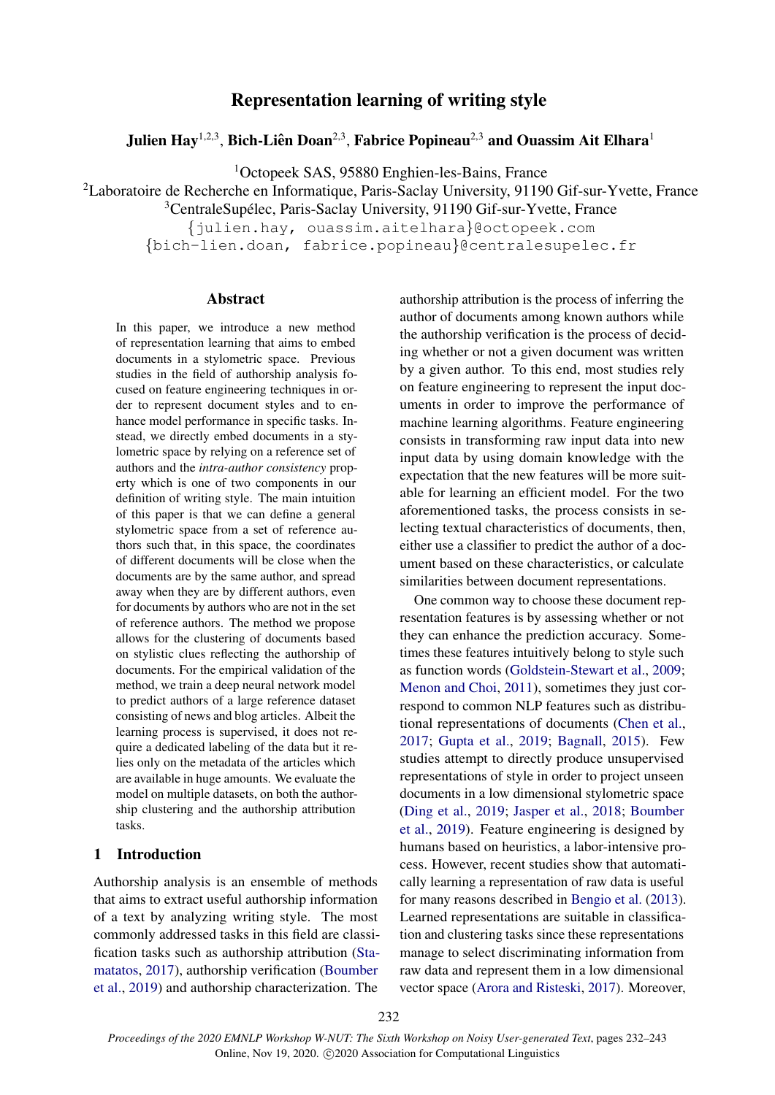# Representation learning of writing style

# <span id="page-0-0"></span>Julien Hay $^{1,2,3},$  Bich-Liên Doan $^{2,3},$  Fabrice Popineau $^{2,3}$  and Ouassim Ait Elhara $^1$

<sup>1</sup>Octopeek SAS, 95880 Enghien-les-Bains, France

<sup>2</sup>Laboratoire de Recherche en Informatique, Paris-Saclay University, 91190 Gif-sur-Yvette, France

<sup>3</sup>CentraleSupélec, Paris-Saclay University, 91190 Gif-sur-Yvette, France

{julien.hay, ouassim.aitelhara}@octopeek.com

{bich-lien.doan, fabrice.popineau}@centralesupelec.fr

### Abstract

In this paper, we introduce a new method of representation learning that aims to embed documents in a stylometric space. Previous studies in the field of authorship analysis focused on feature engineering techniques in order to represent document styles and to enhance model performance in specific tasks. Instead, we directly embed documents in a stylometric space by relying on a reference set of authors and the *intra-author consistency* property which is one of two components in our definition of writing style. The main intuition of this paper is that we can define a general stylometric space from a set of reference authors such that, in this space, the coordinates of different documents will be close when the documents are by the same author, and spread away when they are by different authors, even for documents by authors who are not in the set of reference authors. The method we propose allows for the clustering of documents based on stylistic clues reflecting the authorship of documents. For the empirical validation of the method, we train a deep neural network model to predict authors of a large reference dataset consisting of news and blog articles. Albeit the learning process is supervised, it does not require a dedicated labeling of the data but it relies only on the metadata of the articles which are available in huge amounts. We evaluate the model on multiple datasets, on both the authorship clustering and the authorship attribution tasks.

## 1 Introduction

Authorship analysis is an ensemble of methods that aims to extract useful authorship information of a text by analyzing writing style. The most commonly addressed tasks in this field are classification tasks such as authorship attribution [\(Sta](#page-10-0)[matatos,](#page-10-0) [2017\)](#page-10-0), authorship verification [\(Boumber](#page-9-0) [et al.,](#page-9-0) [2019\)](#page-9-0) and authorship characterization. The

authorship attribution is the process of inferring the author of documents among known authors while the authorship verification is the process of deciding whether or not a given document was written by a given author. To this end, most studies rely on feature engineering to represent the input documents in order to improve the performance of machine learning algorithms. Feature engineering consists in transforming raw input data into new input data by using domain knowledge with the expectation that the new features will be more suitable for learning an efficient model. For the two aforementioned tasks, the process consists in selecting textual characteristics of documents, then, either use a classifier to predict the author of a document based on these characteristics, or calculate similarities between document representations.

One common way to choose these document representation features is by assessing whether or not they can enhance the prediction accuracy. Sometimes these features intuitively belong to style such as function words [\(Goldstein-Stewart et al.,](#page-9-1) [2009;](#page-9-1) [Menon and Choi,](#page-10-1) [2011\)](#page-10-1), sometimes they just correspond to common NLP features such as distributional representations of documents [\(Chen et al.,](#page-9-2) [2017;](#page-9-2) [Gupta et al.,](#page-9-3) [2019;](#page-9-3) [Bagnall,](#page-9-4) [2015\)](#page-9-4). Few studies attempt to directly produce unsupervised representations of style in order to project unseen documents in a low dimensional stylometric space [\(Ding et al.,](#page-9-5) [2019;](#page-9-5) [Jasper et al.,](#page-10-2) [2018;](#page-10-2) [Boumber](#page-9-0) [et al.,](#page-9-0) [2019\)](#page-9-0). Feature engineering is designed by humans based on heuristics, a labor-intensive process. However, recent studies show that automatically learning a representation of raw data is useful for many reasons described in [Bengio et al.](#page-9-6) [\(2013\)](#page-9-6). Learned representations are suitable in classification and clustering tasks since these representations manage to select discriminating information from raw data and represent them in a low dimensional vector space [\(Arora and Risteski,](#page-9-7) [2017\)](#page-9-7). Moreover,

232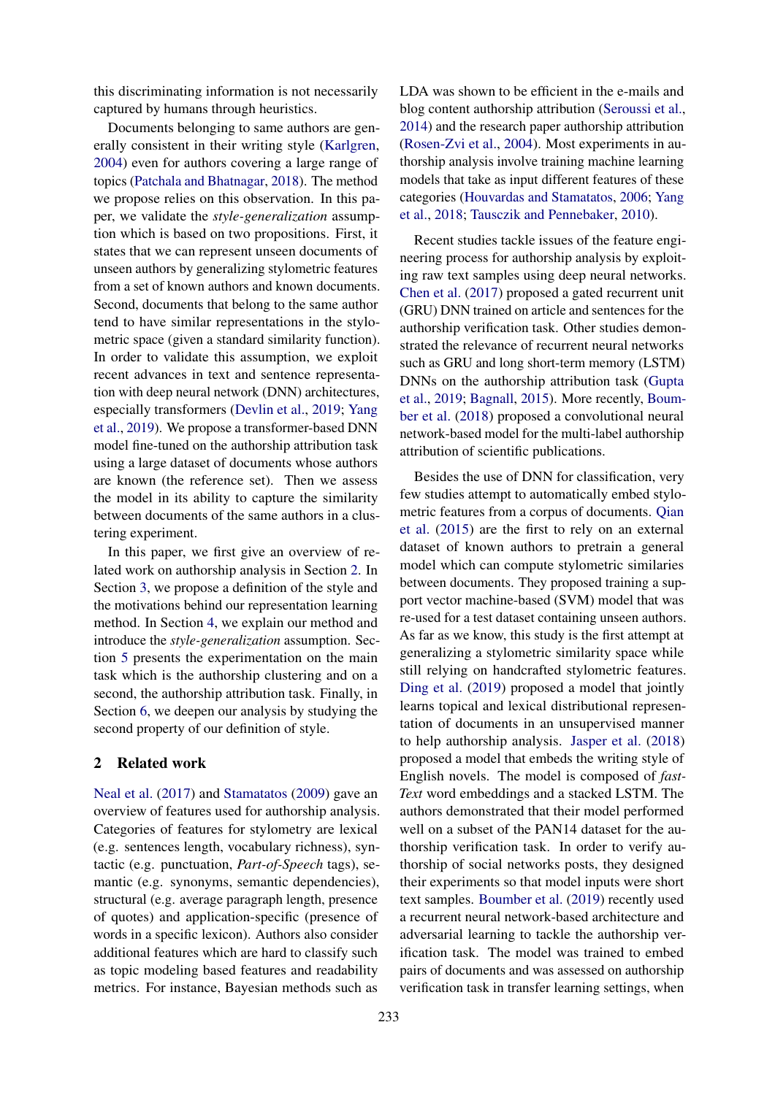this discriminating information is not necessarily captured by humans through heuristics.

Documents belonging to same authors are generally consistent in their writing style [\(Karlgren,](#page-10-3) [2004\)](#page-10-3) even for authors covering a large range of topics [\(Patchala and Bhatnagar,](#page-10-4) [2018\)](#page-10-4). The method we propose relies on this observation. In this paper, we validate the *style-generalization* assumption which is based on two propositions. First, it states that we can represent unseen documents of unseen authors by generalizing stylometric features from a set of known authors and known documents. Second, documents that belong to the same author tend to have similar representations in the stylometric space (given a standard similarity function). In order to validate this assumption, we exploit recent advances in text and sentence representation with deep neural network (DNN) architectures, especially transformers [\(Devlin et al.,](#page-9-8) [2019;](#page-9-8) [Yang](#page-11-0) [et al.,](#page-11-0) [2019\)](#page-11-0). We propose a transformer-based DNN model fine-tuned on the authorship attribution task using a large dataset of documents whose authors are known (the reference set). Then we assess the model in its ability to capture the similarity between documents of the same authors in a clustering experiment.

In this paper, we first give an overview of related work on authorship analysis in Section [2.](#page-1-0) In Section [3,](#page-2-0) we propose a definition of the style and the motivations behind our representation learning method. In Section [4,](#page-2-1) we explain our method and introduce the *style-generalization* assumption. Section [5](#page-3-0) presents the experimentation on the main task which is the authorship clustering and on a second, the authorship attribution task. Finally, in Section [6,](#page-7-0) we deepen our analysis by studying the second property of our definition of style.

## <span id="page-1-0"></span>2 Related work

[Neal et al.](#page-10-5) [\(2017\)](#page-10-5) and [Stamatatos](#page-10-6) [\(2009\)](#page-10-6) gave an overview of features used for authorship analysis. Categories of features for stylometry are lexical (e.g. sentences length, vocabulary richness), syntactic (e.g. punctuation, *Part-of-Speech* tags), semantic (e.g. synonyms, semantic dependencies), structural (e.g. average paragraph length, presence of quotes) and application-specific (presence of words in a specific lexicon). Authors also consider additional features which are hard to classify such as topic modeling based features and readability metrics. For instance, Bayesian methods such as

LDA was shown to be efficient in the e-mails and blog content authorship attribution [\(Seroussi et al.,](#page-10-7) [2014\)](#page-10-7) and the research paper authorship attribution [\(Rosen-Zvi et al.,](#page-10-8) [2004\)](#page-10-8). Most experiments in authorship analysis involve training machine learning models that take as input different features of these categories [\(Houvardas and Stamatatos,](#page-10-9) [2006;](#page-10-9) [Yang](#page-11-1) [et al.,](#page-11-1) [2018;](#page-11-1) [Tausczik and Pennebaker,](#page-11-2) [2010\)](#page-11-2).

Recent studies tackle issues of the feature engineering process for authorship analysis by exploiting raw text samples using deep neural networks. [Chen et al.](#page-9-2) [\(2017\)](#page-9-2) proposed a gated recurrent unit (GRU) DNN trained on article and sentences for the authorship verification task. Other studies demonstrated the relevance of recurrent neural networks such as GRU and long short-term memory (LSTM) DNNs on the authorship attribution task [\(Gupta](#page-9-3) [et al.,](#page-9-3) [2019;](#page-9-3) [Bagnall,](#page-9-4) [2015\)](#page-9-4). More recently, [Boum](#page-9-9)[ber et al.](#page-9-9) [\(2018\)](#page-9-9) proposed a convolutional neural network-based model for the multi-label authorship attribution of scientific publications.

Besides the use of DNN for classification, very few studies attempt to automatically embed stylometric features from a corpus of documents. [Qian](#page-10-10) [et al.](#page-10-10) [\(2015\)](#page-10-10) are the first to rely on an external dataset of known authors to pretrain a general model which can compute stylometric similaries between documents. They proposed training a support vector machine-based (SVM) model that was re-used for a test dataset containing unseen authors. As far as we know, this study is the first attempt at generalizing a stylometric similarity space while still relying on handcrafted stylometric features. [Ding et al.](#page-9-5) [\(2019\)](#page-9-5) proposed a model that jointly learns topical and lexical distributional representation of documents in an unsupervised manner to help authorship analysis. [Jasper et al.](#page-10-2) [\(2018\)](#page-10-2) proposed a model that embeds the writing style of English novels. The model is composed of *fast-Text* word embeddings and a stacked LSTM. The authors demonstrated that their model performed well on a subset of the PAN14 dataset for the authorship verification task. In order to verify authorship of social networks posts, they designed their experiments so that model inputs were short text samples. [Boumber et al.](#page-9-0) [\(2019\)](#page-9-0) recently used a recurrent neural network-based architecture and adversarial learning to tackle the authorship verification task. The model was trained to embed pairs of documents and was assessed on authorship verification task in transfer learning settings, when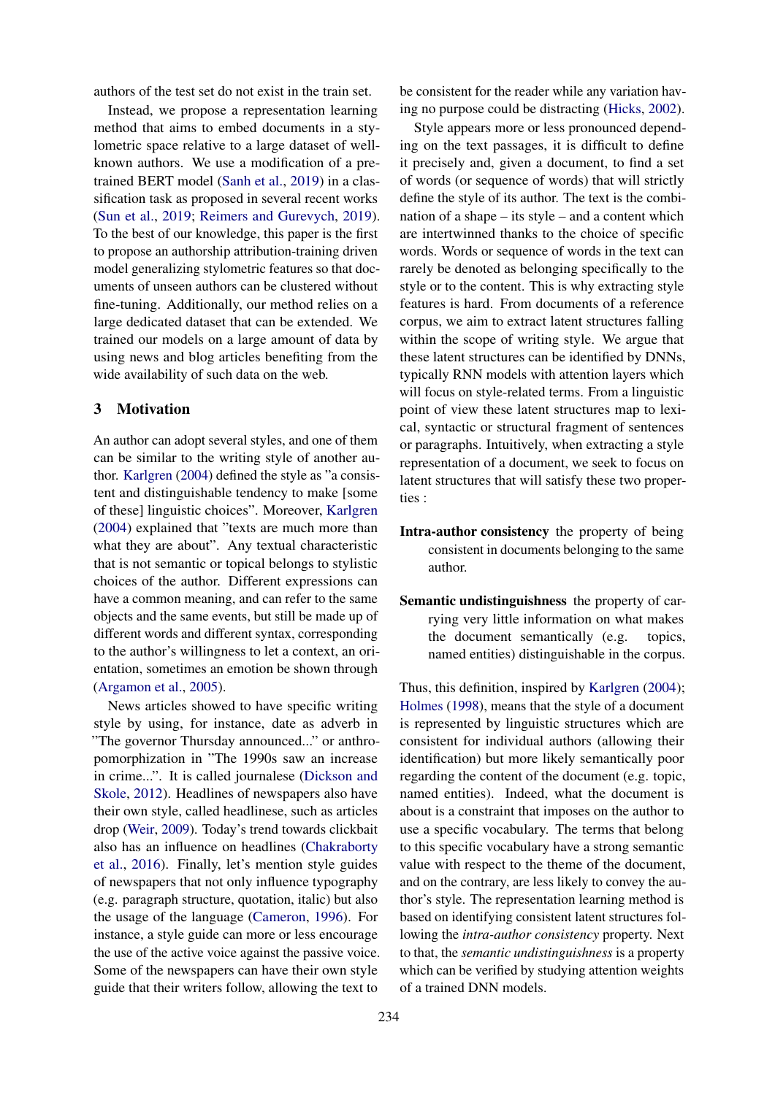authors of the test set do not exist in the train set.

Instead, we propose a representation learning method that aims to embed documents in a stylometric space relative to a large dataset of wellknown authors. We use a modification of a pretrained BERT model [\(Sanh et al.,](#page-10-11) [2019\)](#page-10-11) in a classification task as proposed in several recent works [\(Sun et al.,](#page-10-12) [2019;](#page-10-12) [Reimers and Gurevych,](#page-10-13) [2019\)](#page-10-13). To the best of our knowledge, this paper is the first to propose an authorship attribution-training driven model generalizing stylometric features so that documents of unseen authors can be clustered without fine-tuning. Additionally, our method relies on a large dedicated dataset that can be extended. We trained our models on a large amount of data by using news and blog articles benefiting from the wide availability of such data on the web.

## <span id="page-2-0"></span>3 Motivation

An author can adopt several styles, and one of them can be similar to the writing style of another author. [Karlgren](#page-10-3) [\(2004\)](#page-10-3) defined the style as "a consistent and distinguishable tendency to make [some of these] linguistic choices". Moreover, [Karlgren](#page-10-3) [\(2004\)](#page-10-3) explained that "texts are much more than what they are about". Any textual characteristic that is not semantic or topical belongs to stylistic choices of the author. Different expressions can have a common meaning, and can refer to the same objects and the same events, but still be made up of different words and different syntax, corresponding to the author's willingness to let a context, an orientation, sometimes an emotion be shown through [\(Argamon et al.,](#page-9-10) [2005\)](#page-9-10).

News articles showed to have specific writing style by using, for instance, date as adverb in "The governor Thursday announced..." or anthropomorphization in "The 1990s saw an increase in crime...". It is called journalese [\(Dickson and](#page-9-11) [Skole,](#page-9-11) [2012\)](#page-9-11). Headlines of newspapers also have their own style, called headlinese, such as articles drop [\(Weir,](#page-11-3) [2009\)](#page-11-3). Today's trend towards clickbait also has an influence on headlines [\(Chakraborty](#page-9-12) [et al.,](#page-9-12) [2016\)](#page-9-12). Finally, let's mention style guides of newspapers that not only influence typography (e.g. paragraph structure, quotation, italic) but also the usage of the language [\(Cameron,](#page-9-13) [1996\)](#page-9-13). For instance, a style guide can more or less encourage the use of the active voice against the passive voice. Some of the newspapers can have their own style guide that their writers follow, allowing the text to

be consistent for the reader while any variation having no purpose could be distracting [\(Hicks,](#page-10-14) [2002\)](#page-10-14).

Style appears more or less pronounced depending on the text passages, it is difficult to define it precisely and, given a document, to find a set of words (or sequence of words) that will strictly define the style of its author. The text is the combination of a shape – its style – and a content which are intertwinned thanks to the choice of specific words. Words or sequence of words in the text can rarely be denoted as belonging specifically to the style or to the content. This is why extracting style features is hard. From documents of a reference corpus, we aim to extract latent structures falling within the scope of writing style. We argue that these latent structures can be identified by DNNs, typically RNN models with attention layers which will focus on style-related terms. From a linguistic point of view these latent structures map to lexical, syntactic or structural fragment of sentences or paragraphs. Intuitively, when extracting a style representation of a document, we seek to focus on latent structures that will satisfy these two properties :

- Intra-author consistency the property of being consistent in documents belonging to the same author.
- Semantic undistinguishness the property of carrying very little information on what makes the document semantically (e.g. topics, named entities) distinguishable in the corpus.

<span id="page-2-1"></span>Thus, this definition, inspired by [Karlgren](#page-10-3) [\(2004\)](#page-10-3); [Holmes](#page-10-15) [\(1998\)](#page-10-15), means that the style of a document is represented by linguistic structures which are consistent for individual authors (allowing their identification) but more likely semantically poor regarding the content of the document (e.g. topic, named entities). Indeed, what the document is about is a constraint that imposes on the author to use a specific vocabulary. The terms that belong to this specific vocabulary have a strong semantic value with respect to the theme of the document, and on the contrary, are less likely to convey the author's style. The representation learning method is based on identifying consistent latent structures following the *intra-author consistency* property. Next to that, the *semantic undistinguishness* is a property which can be verified by studying attention weights of a trained DNN models.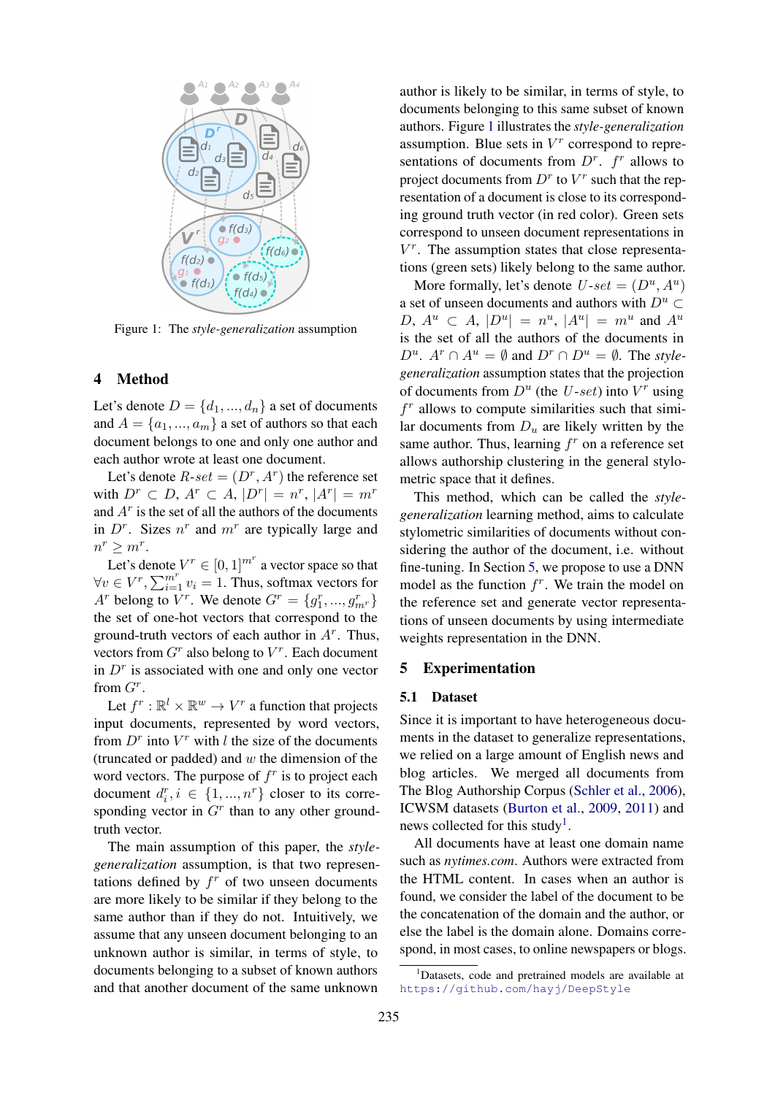<span id="page-3-1"></span>

Figure 1: The *style-generalization* assumption

### 4 Method

Let's denote  $D = \{d_1, ..., d_n\}$  a set of documents and  $A = \{a_1, ..., a_m\}$  a set of authors so that each document belongs to one and only one author and each author wrote at least one document.

Let's denote  $R\text{-}set = (D^r, A^r)$  the reference set with  $D^r \subset D$ ,  $A^r \subset A$ ,  $|D^r| = n^r$ ,  $|A^r| = m^r$ and  $A<sup>r</sup>$  is the set of all the authors of the documents in  $D^r$ . Sizes  $n^r$  and  $m^r$  are typically large and  $n^r \geq m^r$ .

Let's denote  $V^r \in [0, 1]^{m^r}$  a vector space so that  $\forall v \in V^r, \sum_{i=1}^{m^r} v_i = 1$ . Thus, softmax vectors for  $A^r$  belong to  $V^r$ . We denote  $G^r = \{g_1^r, ..., g_{m^r}^r\}$ the set of one-hot vectors that correspond to the ground-truth vectors of each author in  $A<sup>r</sup>$ . Thus, vectors from  $G<sup>r</sup>$  also belong to  $V<sup>r</sup>$ . Each document in  $D<sup>r</sup>$  is associated with one and only one vector from  $G^r$ .

Let  $f^r : \mathbb{R}^l \times \mathbb{R}^w \to V^r$  a function that projects input documents, represented by word vectors, from  $D^r$  into  $V^r$  with l the size of the documents (truncated or padded) and  $w$  the dimension of the word vectors. The purpose of  $f^r$  is to project each document  $d_i^r, i \in \{1, ..., n^r\}$  closer to its corresponding vector in  $G<sup>r</sup>$  than to any other groundtruth vector.

The main assumption of this paper, the *stylegeneralization* assumption, is that two representations defined by  $f^r$  of two unseen documents are more likely to be similar if they belong to the same author than if they do not. Intuitively, we assume that any unseen document belonging to an unknown author is similar, in terms of style, to documents belonging to a subset of known authors and that another document of the same unknown

author is likely to be similar, in terms of style, to documents belonging to this same subset of known authors. Figure [1](#page-3-1) illustrates the *style-generalization* assumption. Blue sets in  $V<sup>r</sup>$  correspond to representations of documents from  $D^r$ .  $f^r$  allows to project documents from  $D^r$  to  $V^r$  such that the representation of a document is close to its corresponding ground truth vector (in red color). Green sets correspond to unseen document representations in V r . The assumption states that close representations (green sets) likely belong to the same author.

More formally, let's denote  $U\text{-}set = (D^u, A^u)$ a set of unseen documents and authors with  $D^u \subset$  $D, A^u \subset A, |D^u| = n^u, |A^u| = m^u$  and  $A^u$ is the set of all the authors of the documents in  $D^u$ .  $A^r \cap A^u = \emptyset$  and  $D^r \cap D^u = \emptyset$ . The *stylegeneralization* assumption states that the projection of documents from  $D^u$  (the  $U$ -set) into  $V^r$  using  $f<sup>r</sup>$  allows to compute similarities such that similar documents from  $D_u$  are likely written by the same author. Thus, learning  $f^r$  on a reference set allows authorship clustering in the general stylometric space that it defines.

This method, which can be called the *stylegeneralization* learning method, aims to calculate stylometric similarities of documents without considering the author of the document, i.e. without fine-tuning. In Section [5,](#page-3-0) we propose to use a DNN model as the function  $f^r$ . We train the model on the reference set and generate vector representations of unseen documents by using intermediate weights representation in the DNN.

### <span id="page-3-0"></span>5 Experimentation

### <span id="page-3-2"></span>5.1 Dataset

Since it is important to have heterogeneous documents in the dataset to generalize representations, we relied on a large amount of English news and blog articles. We merged all documents from The Blog Authorship Corpus [\(Schler et al.,](#page-10-16) [2006\)](#page-10-16), ICWSM datasets [\(Burton et al.,](#page-9-14) [2009,](#page-9-14) [2011\)](#page-9-15) and news collected for this study<sup>[1](#page-0-0)</sup>.

All documents have at least one domain name such as *nytimes.com*. Authors were extracted from the HTML content. In cases when an author is found, we consider the label of the document to be the concatenation of the domain and the author, or else the label is the domain alone. Domains correspond, in most cases, to online newspapers or blogs.

<sup>&</sup>lt;sup>1</sup>Datasets, code and pretrained models are available at <https://github.com/hayj/DeepStyle>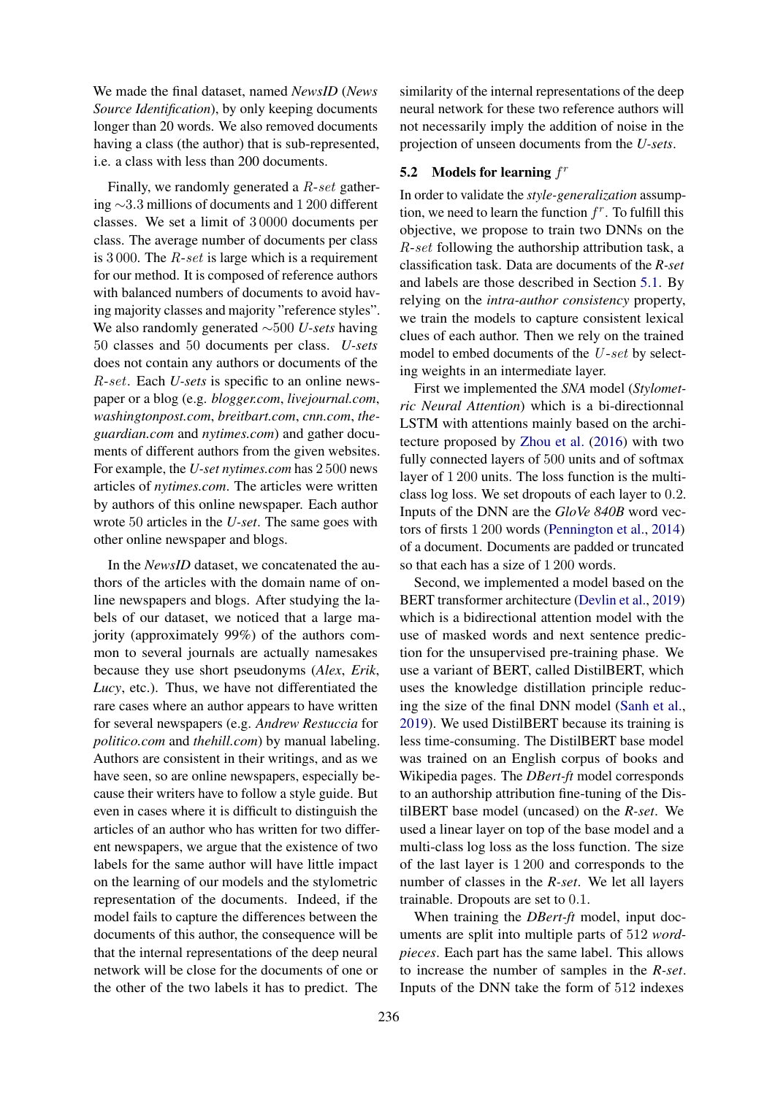We made the final dataset, named *NewsID* (*News Source Identification*), by only keeping documents longer than 20 words. We also removed documents having a class (the author) that is sub-represented, i.e. a class with less than 200 documents.

Finally, we randomly generated a R-set gathering ∼3.3 millions of documents and 1 200 different classes. We set a limit of 3 0000 documents per class. The average number of documents per class is 3000. The  $R$ -set is large which is a requirement for our method. It is composed of reference authors with balanced numbers of documents to avoid having majority classes and majority "reference styles". We also randomly generated ∼500 *U-sets* having 50 classes and 50 documents per class. *U-sets* does not contain any authors or documents of the R-set. Each *U-sets* is specific to an online newspaper or a blog (e.g. *blogger.com*, *livejournal.com*, *washingtonpost.com*, *breitbart.com*, *cnn.com*, *theguardian.com* and *nytimes.com*) and gather documents of different authors from the given websites. For example, the *U-set nytimes.com* has 2 500 news articles of *nytimes.com*. The articles were written by authors of this online newspaper. Each author wrote 50 articles in the *U-set*. The same goes with other online newspaper and blogs.

In the *NewsID* dataset, we concatenated the authors of the articles with the domain name of online newspapers and blogs. After studying the labels of our dataset, we noticed that a large majority (approximately 99%) of the authors common to several journals are actually namesakes because they use short pseudonyms (*Alex*, *Erik*, *Lucy*, etc.). Thus, we have not differentiated the rare cases where an author appears to have written for several newspapers (e.g. *Andrew Restuccia* for *politico.com* and *thehill.com*) by manual labeling. Authors are consistent in their writings, and as we have seen, so are online newspapers, especially because their writers have to follow a style guide. But even in cases where it is difficult to distinguish the articles of an author who has written for two different newspapers, we argue that the existence of two labels for the same author will have little impact on the learning of our models and the stylometric representation of the documents. Indeed, if the model fails to capture the differences between the documents of this author, the consequence will be that the internal representations of the deep neural network will be close for the documents of one or the other of the two labels it has to predict. The

similarity of the internal representations of the deep neural network for these two reference authors will not necessarily imply the addition of noise in the projection of unseen documents from the *U-sets*.

# 5.2 Models for learning  $f^r$

In order to validate the *style-generalization* assumption, we need to learn the function  $f^r$ . To fulfill this objective, we propose to train two DNNs on the R-set following the authorship attribution task, a classification task. Data are documents of the *R-set* and labels are those described in Section [5.1.](#page-3-2) By relying on the *intra-author consistency* property, we train the models to capture consistent lexical clues of each author. Then we rely on the trained model to embed documents of the U-set by selecting weights in an intermediate layer.

First we implemented the *SNA* model (*Stylometric Neural Attention*) which is a bi-directionnal LSTM with attentions mainly based on the architecture proposed by [Zhou et al.](#page-11-4) [\(2016\)](#page-11-4) with two fully connected layers of 500 units and of softmax layer of 1 200 units. The loss function is the multiclass log loss. We set dropouts of each layer to 0.2. Inputs of the DNN are the *GloVe 840B* word vectors of firsts 1 200 words [\(Pennington et al.,](#page-10-17) [2014\)](#page-10-17) of a document. Documents are padded or truncated so that each has a size of 1 200 words.

Second, we implemented a model based on the BERT transformer architecture [\(Devlin et al.,](#page-9-8) [2019\)](#page-9-8) which is a bidirectional attention model with the use of masked words and next sentence prediction for the unsupervised pre-training phase. We use a variant of BERT, called DistilBERT, which uses the knowledge distillation principle reducing the size of the final DNN model [\(Sanh et al.,](#page-10-11) [2019\)](#page-10-11). We used DistilBERT because its training is less time-consuming. The DistilBERT base model was trained on an English corpus of books and Wikipedia pages. The *DBert-ft* model corresponds to an authorship attribution fine-tuning of the DistilBERT base model (uncased) on the *R-set*. We used a linear layer on top of the base model and a multi-class log loss as the loss function. The size of the last layer is 1 200 and corresponds to the number of classes in the *R-set*. We let all layers trainable. Dropouts are set to 0.1.

When training the *DBert-ft* model, input documents are split into multiple parts of 512 *wordpieces*. Each part has the same label. This allows to increase the number of samples in the *R-set*. Inputs of the DNN take the form of 512 indexes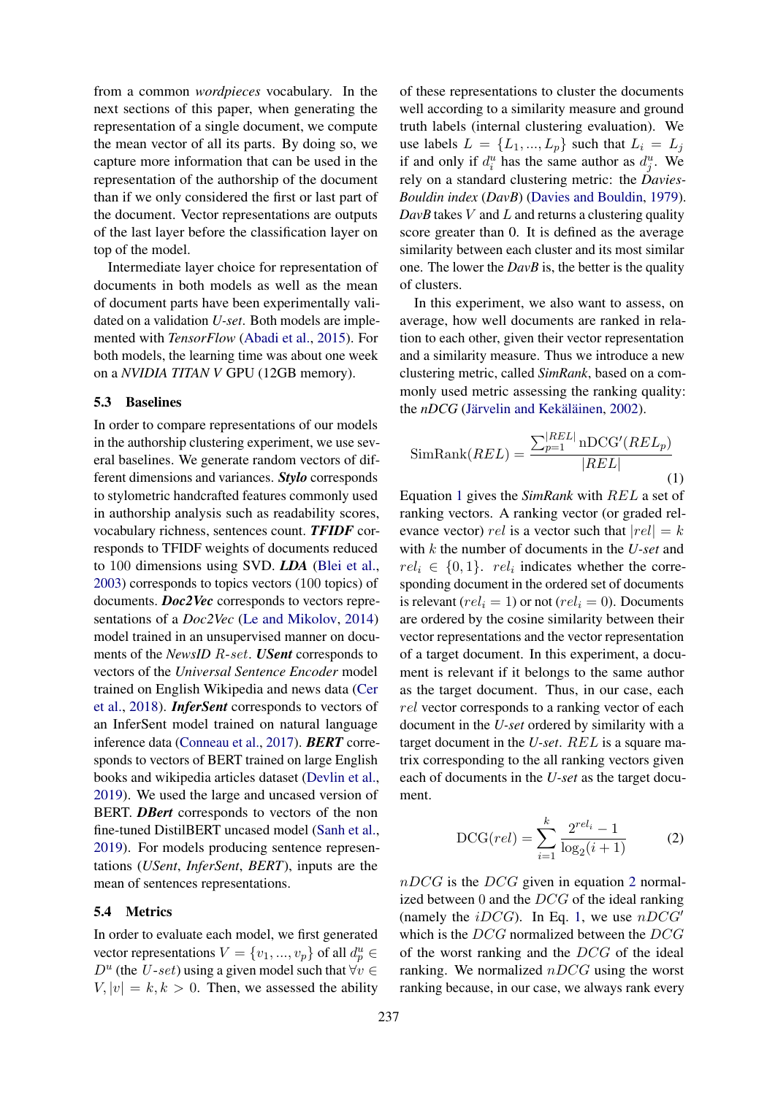from a common *wordpieces* vocabulary. In the next sections of this paper, when generating the representation of a single document, we compute the mean vector of all its parts. By doing so, we capture more information that can be used in the representation of the authorship of the document than if we only considered the first or last part of the document. Vector representations are outputs of the last layer before the classification layer on top of the model.

Intermediate layer choice for representation of documents in both models as well as the mean of document parts have been experimentally validated on a validation *U-set*. Both models are implemented with *TensorFlow* [\(Abadi et al.,](#page-9-16) [2015\)](#page-9-16). For both models, the learning time was about one week on a *NVIDIA TITAN V* GPU (12GB memory).

#### 5.3 Baselines

In order to compare representations of our models in the authorship clustering experiment, we use several baselines. We generate random vectors of different dimensions and variances. *Stylo* corresponds to stylometric handcrafted features commonly used in authorship analysis such as readability scores, vocabulary richness, sentences count. *TFIDF* corresponds to TFIDF weights of documents reduced to 100 dimensions using SVD. *LDA* [\(Blei et al.,](#page-9-17) [2003\)](#page-9-17) corresponds to topics vectors (100 topics) of documents. *Doc2Vec* corresponds to vectors representations of a *Doc2Vec* [\(Le and Mikolov,](#page-10-18) [2014\)](#page-10-18) model trained in an unsupervised manner on documents of the *NewsID* R-set. *USent* corresponds to vectors of the *Universal Sentence Encoder* model trained on English Wikipedia and news data [\(Cer](#page-9-18) [et al.,](#page-9-18) [2018\)](#page-9-18). *InferSent* corresponds to vectors of an InferSent model trained on natural language inference data [\(Conneau et al.,](#page-9-19) [2017\)](#page-9-19). *BERT* corresponds to vectors of BERT trained on large English books and wikipedia articles dataset [\(Devlin et al.,](#page-9-8) [2019\)](#page-9-8). We used the large and uncased version of BERT. *DBert* corresponds to vectors of the non fine-tuned DistilBERT uncased model [\(Sanh et al.,](#page-10-11) [2019\)](#page-10-11). For models producing sentence representations (*USent*, *InferSent*, *BERT*), inputs are the mean of sentences representations.

#### 5.4 Metrics

In order to evaluate each model, we first generated vector representations  $V = \{v_1, ..., v_p\}$  of all  $d_p^u \in$  $D^u$  (the U-set) using a given model such that  $\forall v \in$  $V, |v| = k, k > 0$ . Then, we assessed the ability

of these representations to cluster the documents well according to a similarity measure and ground truth labels (internal clustering evaluation). We use labels  $L = \{L_1, ..., L_p\}$  such that  $L_i = L_j$ if and only if  $d_i^u$  has the same author as  $d_j^u$ . We rely on a standard clustering metric: the *Davies-Bouldin index* (*DavB*) [\(Davies and Bouldin,](#page-9-20) [1979\)](#page-9-20).  $DavB$  takes  $V$  and  $L$  and returns a clustering quality score greater than 0. It is defined as the average similarity between each cluster and its most similar one. The lower the *DavB* is, the better is the quality of clusters.

In this experiment, we also want to assess, on average, how well documents are ranked in relation to each other, given their vector representation and a similarity measure. Thus we introduce a new clustering metric, called *SimRank*, based on a commonly used metric assessing the ranking quality: the *nDCG* (Järvelin and Kekäläinen, [2002\)](#page-10-19).

<span id="page-5-0"></span>
$$
\text{SimRank}(REL) = \frac{\sum_{p=1}^{|REL|} \text{nDCG}'(REL_p)}{|REL|}
$$
\n(1)

Equation [1](#page-5-0) gives the *SimRank* with REL a set of ranking vectors. A ranking vector (or graded relevance vector) rel is a vector such that  $|rel| = k$ with k the number of documents in the *U-set* and  $rel_i \in \{0,1\}$ .  $rel_i$  indicates whether the corresponding document in the ordered set of documents is relevant ( $rel_i = 1$ ) or not ( $rel_i = 0$ ). Documents are ordered by the cosine similarity between their vector representations and the vector representation of a target document. In this experiment, a document is relevant if it belongs to the same author as the target document. Thus, in our case, each rel vector corresponds to a ranking vector of each document in the *U-set* ordered by similarity with a target document in the *U-set*. REL is a square matrix corresponding to the all ranking vectors given each of documents in the *U-set* as the target document.

<span id="page-5-1"></span>
$$
DCG(rel) = \sum_{i=1}^{k} \frac{2^{rel_i} - 1}{\log_2(i+1)}
$$
 (2)

 $nDCG$  is the DCG given in equation [2](#page-5-1) normalized between  $0$  and the  $DCG$  of the ideal ranking (namely the *iDCG*). In Eq. [1,](#page-5-0) we use  $nDCG'$ which is the DCG normalized between the DCG of the worst ranking and the DCG of the ideal ranking. We normalized  $nDCG$  using the worst ranking because, in our case, we always rank every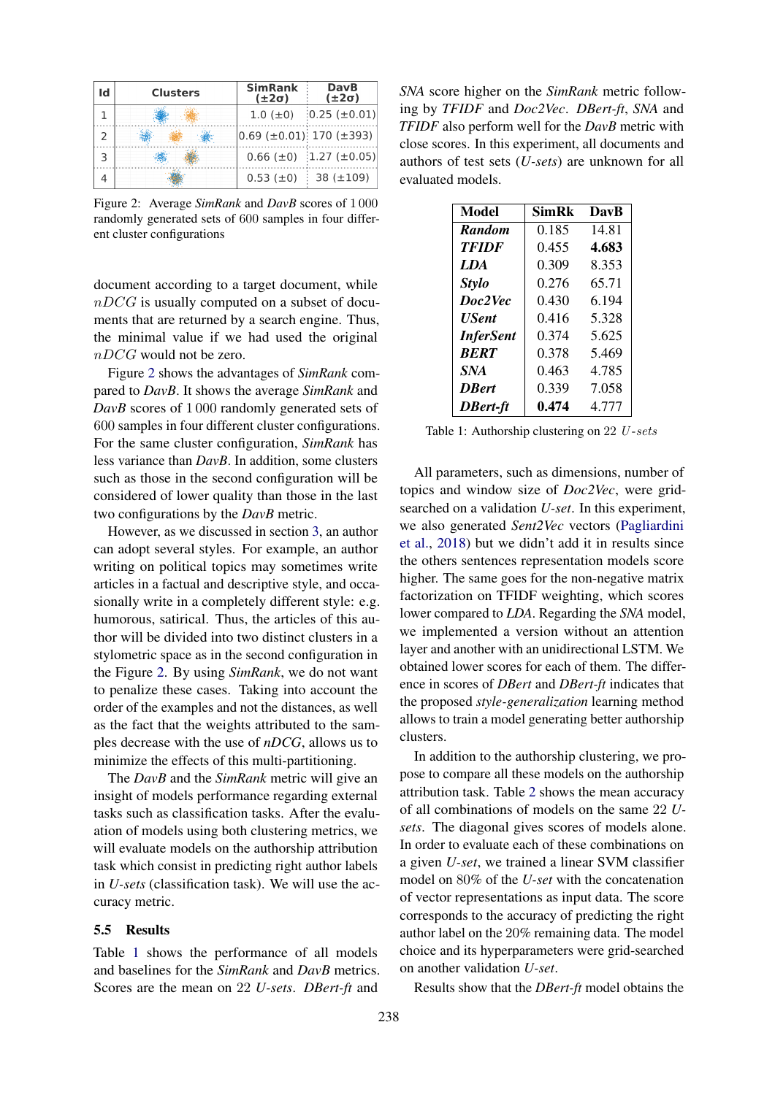<span id="page-6-0"></span>

| Id | <b>Clusters</b> | <b>SimRank</b><br>$(\pm 2\sigma)$       | <b>DavB</b><br>$(\pm 2\sigma)$       |  |
|----|-----------------|-----------------------------------------|--------------------------------------|--|
|    |                 | $1.0$ ( $\pm$ 0)                        | $0.25 \ (\pm 0.01)$                  |  |
|    |                 | $ 0.69 \; (\pm 0.01)$ 170 ( $\pm 393$ ) |                                      |  |
|    |                 |                                         | $0.66 \ (\pm 0)$ 1.27 ( $\pm 0.05$ ) |  |
|    |                 | $0.53$ ( $\pm$ 0)                       | 38 (±109)                            |  |

Figure 2: Average *SimRank* and *DavB* scores of 1 000 randomly generated sets of 600 samples in four different cluster configurations

document according to a target document, while  $nDCG$  is usually computed on a subset of documents that are returned by a search engine. Thus, the minimal value if we had used the original  $nDCG$  would not be zero.

Figure [2](#page-6-0) shows the advantages of *SimRank* compared to *DavB*. It shows the average *SimRank* and *DavB* scores of 1000 randomly generated sets of 600 samples in four different cluster configurations. For the same cluster configuration, *SimRank* has less variance than *DavB*. In addition, some clusters such as those in the second configuration will be considered of lower quality than those in the last two configurations by the *DavB* metric.

However, as we discussed in section [3,](#page-2-0) an author can adopt several styles. For example, an author writing on political topics may sometimes write articles in a factual and descriptive style, and occasionally write in a completely different style: e.g. humorous, satirical. Thus, the articles of this author will be divided into two distinct clusters in a stylometric space as in the second configuration in the Figure [2.](#page-6-0) By using *SimRank*, we do not want to penalize these cases. Taking into account the order of the examples and not the distances, as well as the fact that the weights attributed to the samples decrease with the use of *nDCG*, allows us to minimize the effects of this multi-partitioning.

The *DavB* and the *SimRank* metric will give an insight of models performance regarding external tasks such as classification tasks. After the evaluation of models using both clustering metrics, we will evaluate models on the authorship attribution task which consist in predicting right author labels in *U-sets* (classification task). We will use the accuracy metric.

### 5.5 Results

Table [1](#page-6-1) shows the performance of all models and baselines for the *SimRank* and *DavB* metrics. Scores are the mean on 22 *U-sets*. *DBert-ft* and

*SNA* score higher on the *SimRank* metric following by *TFIDF* and *Doc2Vec*. *DBert-ft*, *SNA* and *TFIDF* also perform well for the *DavB* metric with close scores. In this experiment, all documents and authors of test sets (*U-sets*) are unknown for all evaluated models.

<span id="page-6-1"></span>

| Model            | SimRk | DavB  |
|------------------|-------|-------|
| <b>Random</b>    | 0.185 | 14.81 |
| <b>TFIDF</b>     | 0.455 | 4.683 |
| LDA              | 0.309 | 8.353 |
| <b>Stylo</b>     | 0.276 | 65.71 |
| Doc2Vec          | 0.430 | 6.194 |
| <b>USent</b>     | 0.416 | 5.328 |
| <b>InferSent</b> | 0.374 | 5.625 |
| <b>BERT</b>      | 0.378 | 5.469 |
| <b>SNA</b>       | 0.463 | 4.785 |
| <b>D</b> Rert    | 0.339 | 7.058 |
| DBert-ft         | 0.474 | 4.777 |

Table 1: Authorship clustering on 22 U-sets

All parameters, such as dimensions, number of topics and window size of *Doc2Vec*, were gridsearched on a validation *U-set*. In this experiment, we also generated *Sent2Vec* vectors [\(Pagliardini](#page-10-20) [et al.,](#page-10-20) [2018\)](#page-10-20) but we didn't add it in results since the others sentences representation models score higher. The same goes for the non-negative matrix factorization on TFIDF weighting, which scores lower compared to *LDA*. Regarding the *SNA* model, we implemented a version without an attention layer and another with an unidirectional LSTM. We obtained lower scores for each of them. The difference in scores of *DBert* and *DBert-ft* indicates that the proposed *style-generalization* learning method allows to train a model generating better authorship clusters.

In addition to the authorship clustering, we propose to compare all these models on the authorship attribution task. Table [2](#page-7-1) shows the mean accuracy of all combinations of models on the same 22 *Usets*. The diagonal gives scores of models alone. In order to evaluate each of these combinations on a given *U-set*, we trained a linear SVM classifier model on 80% of the *U-set* with the concatenation of vector representations as input data. The score corresponds to the accuracy of predicting the right author label on the 20% remaining data. The model choice and its hyperparameters were grid-searched on another validation *U-set*.

Results show that the *DBert-ft* model obtains the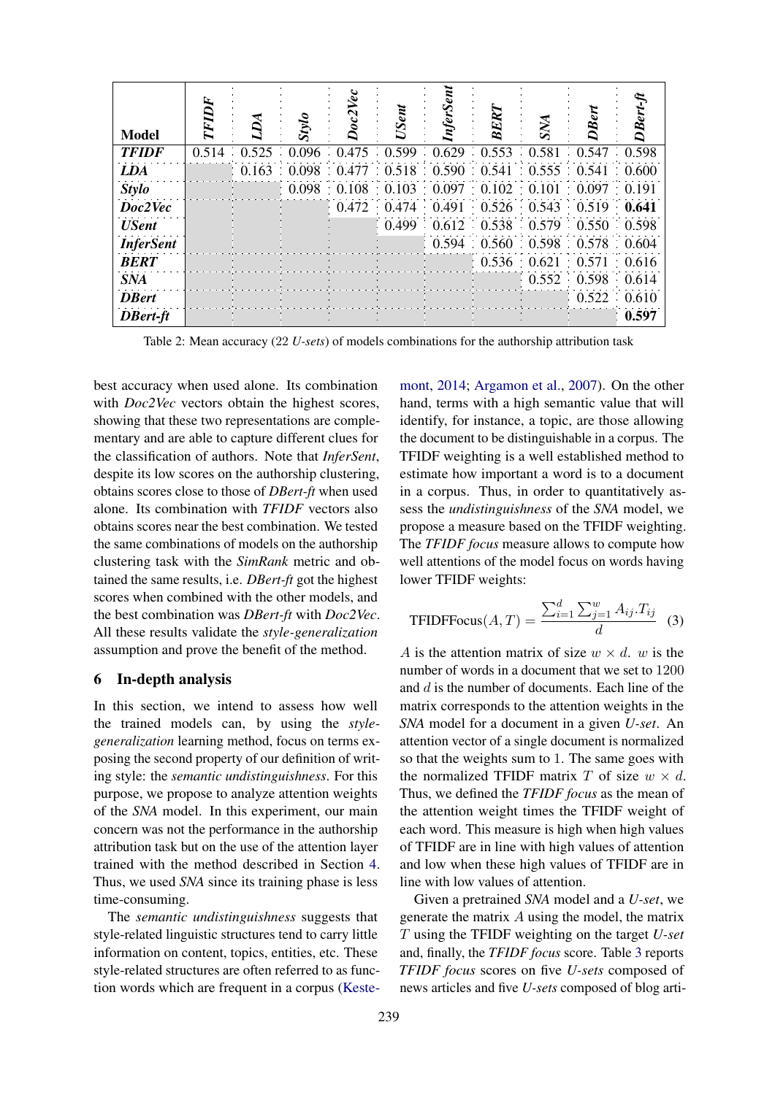<span id="page-7-1"></span>

| <b>Model</b>     |                                                       | oriss                                                 | Vec<br>oc2 | <b>USent</b> | nferSent | ERI                                             | SNA                     |                     | $Desr-ti$ |
|------------------|-------------------------------------------------------|-------------------------------------------------------|------------|--------------|----------|-------------------------------------------------|-------------------------|---------------------|-----------|
| <b>TFIDF</b>     | 0.514 0.525 0.096 0.475 0.599 0.629 0.553 0.581 0.547 |                                                       |            |              |          |                                                 |                         |                     | 0.598     |
| <b>LDA</b>       |                                                       | 0.163 0.098 0.477 0.518 0.590 0.541 0.555 0.541 0.600 |            |              |          |                                                 |                         |                     |           |
| <b>Stylo</b>     |                                                       |                                                       |            |              |          | 0.098 0.108 0.103 0.097 0.102 0.101 0.097 0.191 |                         |                     |           |
| Doc2Vec          |                                                       |                                                       | 0.472      |              |          | $0.474$ $0.491$ $0.526$ $0.543$ $0.519$         |                         |                     | 0.641     |
| <b>USent</b>     |                                                       |                                                       |            |              |          | 0.499  0.612  0.538  0.579  0.550  0.598        |                         |                     |           |
| <b>InferSent</b> |                                                       |                                                       |            |              |          | 0.594 0.560 0.598 0.578 0.604                   |                         |                     |           |
| <b>BERT</b>      |                                                       |                                                       |            |              |          |                                                 | 0.536 0.621 0.571 0.616 |                     |           |
| <b>SNA</b>       |                                                       |                                                       |            |              |          |                                                 | 0.552                   | 0.598               | 0.614     |
| <b>D</b> Bert    |                                                       |                                                       |            |              |          |                                                 |                         | $0.522 \quad 0.610$ |           |
| <b>DBert-ft</b>  |                                                       |                                                       |            |              |          |                                                 |                         |                     | 0.597     |

Table 2: Mean accuracy (22 *U-sets*) of models combinations for the authorship attribution task

best accuracy when used alone. Its combination with *Doc2Vec* vectors obtain the highest scores, showing that these two representations are complementary and are able to capture different clues for the classification of authors. Note that *InferSent*, despite its low scores on the authorship clustering, obtains scores close to those of *DBert-ft* when used alone. Its combination with *TFIDF* vectors also obtains scores near the best combination. We tested the same combinations of models on the authorship clustering task with the *SimRank* metric and obtained the same results, i.e. *DBert-ft* got the highest scores when combined with the other models, and the best combination was *DBert-ft* with *Doc2Vec*. All these results validate the *style-generalization* assumption and prove the benefit of the method.

#### <span id="page-7-0"></span>6 In-depth analysis

In this section, we intend to assess how well the trained models can, by using the *stylegeneralization* learning method, focus on terms exposing the second property of our definition of writing style: the *semantic undistinguishness*. For this purpose, we propose to analyze attention weights of the *SNA* model. In this experiment, our main concern was not the performance in the authorship attribution task but on the use of the attention layer trained with the method described in Section [4.](#page-2-1) Thus, we used *SNA* since its training phase is less time-consuming.

The *semantic undistinguishness* suggests that style-related linguistic structures tend to carry little information on content, topics, entities, etc. These style-related structures are often referred to as function words which are frequent in a corpus [\(Keste-](#page-10-21)

[mont,](#page-10-21) [2014;](#page-10-21) [Argamon et al.,](#page-9-21) [2007\)](#page-9-21). On the other hand, terms with a high semantic value that will identify, for instance, a topic, are those allowing the document to be distinguishable in a corpus. The TFIDF weighting is a well established method to estimate how important a word is to a document in a corpus. Thus, in order to quantitatively assess the *undistinguishness* of the *SNA* model, we propose a measure based on the TFIDF weighting. The *TFIDF focus* measure allows to compute how well attentions of the model focus on words having lower TFIDF weights:

$$
\text{TFIDFFocus}(A, T) = \frac{\sum_{i=1}^{d} \sum_{j=1}^{w} A_{ij} \cdot T_{ij}}{d} \tag{3}
$$

A is the attention matrix of size  $w \times d$ , w is the number of words in a document that we set to 1200 and  $d$  is the number of documents. Each line of the matrix corresponds to the attention weights in the *SNA* model for a document in a given *U-set*. An attention vector of a single document is normalized so that the weights sum to 1. The same goes with the normalized TFIDF matrix T of size  $w \times d$ . Thus, we defined the *TFIDF focus* as the mean of the attention weight times the TFIDF weight of each word. This measure is high when high values of TFIDF are in line with high values of attention and low when these high values of TFIDF are in line with low values of attention.

Given a pretrained *SNA* model and a *U-set*, we generate the matrix A using the model, the matrix T using the TFIDF weighting on the target *U-set* and, finally, the *TFIDF focus* score. Table [3](#page-8-0) reports *TFIDF focus* scores on five *U-sets* composed of news articles and five *U-sets* composed of blog arti-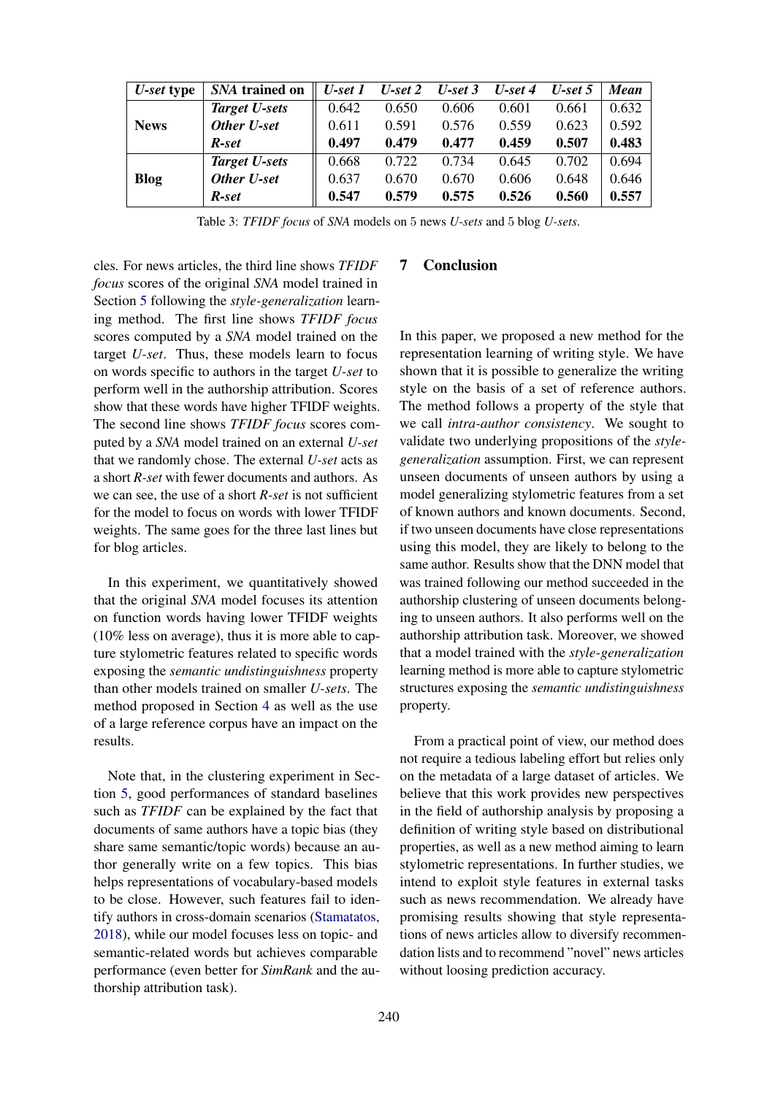<span id="page-8-0"></span>

| U-set type  | SNA trained on       | $U$ -set 1 | $U$ -set 2 | $U$ -set 3 | $U$ -set 4 | $U$ -set 5 | <b>Mean</b> |
|-------------|----------------------|------------|------------|------------|------------|------------|-------------|
|             | <b>Target U-sets</b> | 0.642      | 0.650      | 0.606      | 0.601      | 0.661      | 0.632       |
| <b>News</b> | Other U-set          | 0.611      | 0.591      | 0.576      | 0.559      | 0.623      | 0.592       |
|             | R-set                | 0.497      | 0.479      | 0.477      | 0.459      | 0.507      | 0.483       |
|             | Target U-sets        | 0.668      | 0.722      | 0.734      | 0.645      | 0.702      | 0.694       |
| Blog        | Other U-set          | 0.637      | 0.670      | 0.670      | 0.606      | 0.648      | 0.646       |
|             | R-set                | 0.547      | 0.579      | 0.575      | 0.526      | 0.560      | 0.557       |

Table 3: *TFIDF focus* of *SNA* models on 5 news *U-sets* and 5 blog *U-sets*.

cles. For news articles, the third line shows *TFIDF focus* scores of the original *SNA* model trained in Section [5](#page-3-0) following the *style-generalization* learning method. The first line shows *TFIDF focus* scores computed by a *SNA* model trained on the target *U-set*. Thus, these models learn to focus on words specific to authors in the target *U-set* to perform well in the authorship attribution. Scores show that these words have higher TFIDF weights. The second line shows *TFIDF focus* scores computed by a *SNA* model trained on an external *U-set* that we randomly chose. The external *U-set* acts as a short *R-set* with fewer documents and authors. As we can see, the use of a short *R-set* is not sufficient for the model to focus on words with lower TFIDF weights. The same goes for the three last lines but for blog articles.

In this experiment, we quantitatively showed that the original *SNA* model focuses its attention on function words having lower TFIDF weights (10% less on average), thus it is more able to capture stylometric features related to specific words exposing the *semantic undistinguishness* property than other models trained on smaller *U-sets*. The method proposed in Section [4](#page-2-1) as well as the use of a large reference corpus have an impact on the results.

Note that, in the clustering experiment in Section [5,](#page-3-0) good performances of standard baselines such as *TFIDF* can be explained by the fact that documents of same authors have a topic bias (they share same semantic/topic words) because an author generally write on a few topics. This bias helps representations of vocabulary-based models to be close. However, such features fail to identify authors in cross-domain scenarios [\(Stamatatos,](#page-10-22) [2018\)](#page-10-22), while our model focuses less on topic- and semantic-related words but achieves comparable performance (even better for *SimRank* and the authorship attribution task).

### 7 Conclusion

In this paper, we proposed a new method for the representation learning of writing style. We have shown that it is possible to generalize the writing style on the basis of a set of reference authors. The method follows a property of the style that we call *intra-author consistency*. We sought to validate two underlying propositions of the *stylegeneralization* assumption. First, we can represent unseen documents of unseen authors by using a model generalizing stylometric features from a set of known authors and known documents. Second, if two unseen documents have close representations using this model, they are likely to belong to the same author. Results show that the DNN model that was trained following our method succeeded in the authorship clustering of unseen documents belonging to unseen authors. It also performs well on the authorship attribution task. Moreover, we showed that a model trained with the *style-generalization* learning method is more able to capture stylometric structures exposing the *semantic undistinguishness* property.

From a practical point of view, our method does not require a tedious labeling effort but relies only on the metadata of a large dataset of articles. We believe that this work provides new perspectives in the field of authorship analysis by proposing a definition of writing style based on distributional properties, as well as a new method aiming to learn stylometric representations. In further studies, we intend to exploit style features in external tasks such as news recommendation. We already have promising results showing that style representations of news articles allow to diversify recommendation lists and to recommend "novel" news articles without loosing prediction accuracy.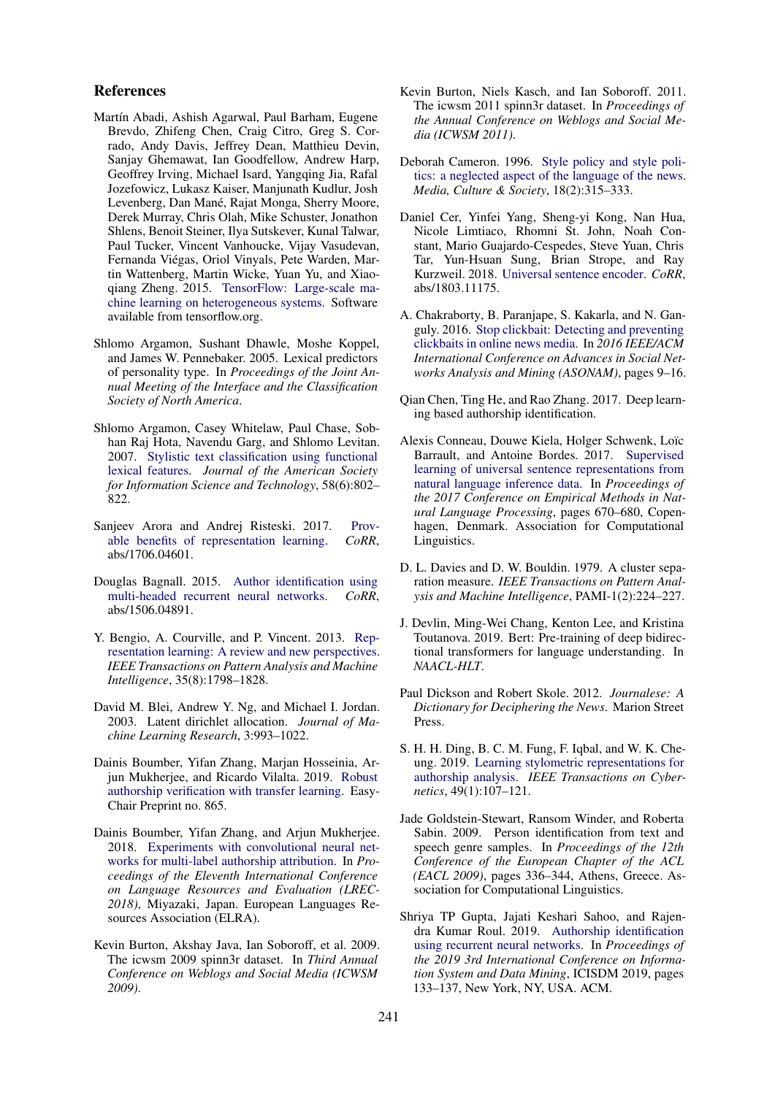### References

- <span id="page-9-16"></span>Martín Abadi, Ashish Agarwal, Paul Barham, Eugene Brevdo, Zhifeng Chen, Craig Citro, Greg S. Corrado, Andy Davis, Jeffrey Dean, Matthieu Devin, Sanjay Ghemawat, Ian Goodfellow, Andrew Harp, Geoffrey Irving, Michael Isard, Yangqing Jia, Rafal Jozefowicz, Lukasz Kaiser, Manjunath Kudlur, Josh Levenberg, Dan Mané, Rajat Monga, Sherry Moore, Derek Murray, Chris Olah, Mike Schuster, Jonathon Shlens, Benoit Steiner, Ilya Sutskever, Kunal Talwar, Paul Tucker, Vincent Vanhoucke, Vijay Vasudevan, Fernanda Viegas, Oriol Vinyals, Pete Warden, Mar- ´ tin Wattenberg, Martin Wicke, Yuan Yu, and Xiaoqiang Zheng. 2015. [TensorFlow: Large-scale ma](http://tensorflow.org/)[chine learning on heterogeneous systems.](http://tensorflow.org/) Software available from tensorflow.org.
- <span id="page-9-10"></span>Shlomo Argamon, Sushant Dhawle, Moshe Koppel, and James W. Pennebaker. 2005. Lexical predictors of personality type. In *Proceedings of the Joint Annual Meeting of the Interface and the Classification Society of North America*.
- <span id="page-9-21"></span>Shlomo Argamon, Casey Whitelaw, Paul Chase, Sobhan Raj Hota, Navendu Garg, and Shlomo Levitan. 2007. [Stylistic text classification using functional](https://doi.org/10.1002/asi.20553) [lexical features.](https://doi.org/10.1002/asi.20553) *Journal of the American Society for Information Science and Technology*, 58(6):802– 822.
- <span id="page-9-7"></span>Sanjeev Arora and Andrej Risteski. 2017. [Prov](http://arxiv.org/abs/1706.04601)[able benefits of representation learning.](http://arxiv.org/abs/1706.04601) *CoRR*, abs/1706.04601.
- <span id="page-9-4"></span>Douglas Bagnall. 2015. [Author identification using](http://arxiv.org/abs/1506.04891) [multi-headed recurrent neural networks.](http://arxiv.org/abs/1506.04891) *CoRR*, abs/1506.04891.
- <span id="page-9-6"></span>Y. Bengio, A. Courville, and P. Vincent. 2013. [Rep](https://doi.org/10.1109/TPAMI.2013.50)[resentation learning: A review and new perspectives.](https://doi.org/10.1109/TPAMI.2013.50) *IEEE Transactions on Pattern Analysis and Machine Intelligence*, 35(8):1798–1828.
- <span id="page-9-17"></span>David M. Blei, Andrew Y. Ng, and Michael I. Jordan. 2003. Latent dirichlet allocation. *Journal of Machine Learning Research*, 3:993–1022.
- <span id="page-9-0"></span>Dainis Boumber, Yifan Zhang, Marjan Hosseinia, Arjun Mukherjee, and Ricardo Vilalta. 2019. [Robust](https://doi.org/10.29007/9nf3) [authorship verification with transfer learning.](https://doi.org/10.29007/9nf3) Easy-Chair Preprint no. 865.
- <span id="page-9-9"></span>Dainis Boumber, Yifan Zhang, and Arjun Mukherjee. 2018. [Experiments with convolutional neural net](https://www.aclweb.org/anthology/L18-1409)[works for multi-label authorship attribution.](https://www.aclweb.org/anthology/L18-1409) In *Proceedings of the Eleventh International Conference on Language Resources and Evaluation (LREC-2018)*, Miyazaki, Japan. European Languages Resources Association (ELRA).
- <span id="page-9-14"></span>Kevin Burton, Akshay Java, Ian Soboroff, et al. 2009. The icwsm 2009 spinn3r dataset. In *Third Annual Conference on Weblogs and Social Media (ICWSM 2009)*.
- <span id="page-9-15"></span>Kevin Burton, Niels Kasch, and Ian Soboroff. 2011. The icwsm 2011 spinn3r dataset. In *Proceedings of the Annual Conference on Weblogs and Social Media (ICWSM 2011)*.
- <span id="page-9-13"></span>Deborah Cameron. 1996. [Style policy and style poli](https://doi.org/10.1177/016344396018002008)[tics: a neglected aspect of the language of the news.](https://doi.org/10.1177/016344396018002008) *Media, Culture & Society*, 18(2):315–333.
- <span id="page-9-18"></span>Daniel Cer, Yinfei Yang, Sheng-yi Kong, Nan Hua, Nicole Limtiaco, Rhomni St. John, Noah Constant, Mario Guajardo-Cespedes, Steve Yuan, Chris Tar, Yun-Hsuan Sung, Brian Strope, and Ray Kurzweil. 2018. [Universal sentence encoder.](http://arxiv.org/abs/1803.11175) *CoRR*, abs/1803.11175.
- <span id="page-9-12"></span>A. Chakraborty, B. Paranjape, S. Kakarla, and N. Ganguly. 2016. [Stop clickbait: Detecting and preventing](https://doi.org/10.1109/ASONAM.2016.7752207) [clickbaits in online news media.](https://doi.org/10.1109/ASONAM.2016.7752207) In *2016 IEEE/ACM International Conference on Advances in Social Networks Analysis and Mining (ASONAM)*, pages 9–16.
- <span id="page-9-2"></span>Qian Chen, Ting He, and Rao Zhang. 2017. Deep learning based authorship identification.
- <span id="page-9-19"></span>Alexis Conneau, Douwe Kiela, Holger Schwenk, Loïc Barrault, and Antoine Bordes. 2017. [Supervised](https://www.aclweb.org/anthology/D17-1070) [learning of universal sentence representations from](https://www.aclweb.org/anthology/D17-1070) [natural language inference data.](https://www.aclweb.org/anthology/D17-1070) In *Proceedings of the 2017 Conference on Empirical Methods in Natural Language Processing*, pages 670–680, Copenhagen, Denmark. Association for Computational Linguistics.
- <span id="page-9-20"></span>D. L. Davies and D. W. Bouldin. 1979. A cluster separation measure. *IEEE Transactions on Pattern Analysis and Machine Intelligence*, PAMI-1(2):224–227.
- <span id="page-9-8"></span>J. Devlin, Ming-Wei Chang, Kenton Lee, and Kristina Toutanova. 2019. Bert: Pre-training of deep bidirectional transformers for language understanding. In *NAACL-HLT*.
- <span id="page-9-11"></span>Paul Dickson and Robert Skole. 2012. *Journalese: A Dictionary for Deciphering the News*. Marion Street Press.
- <span id="page-9-5"></span>S. H. H. Ding, B. C. M. Fung, F. Iqbal, and W. K. Cheung. 2019. [Learning stylometric representations for](https://doi.org/10.1109/TCYB.2017.2766189) [authorship analysis.](https://doi.org/10.1109/TCYB.2017.2766189) *IEEE Transactions on Cybernetics*, 49(1):107–121.
- <span id="page-9-1"></span>Jade Goldstein-Stewart, Ransom Winder, and Roberta Sabin. 2009. Person identification from text and speech genre samples. In *Proceedings of the 12th Conference of the European Chapter of the ACL (EACL 2009)*, pages 336–344, Athens, Greece. Association for Computational Linguistics.
- <span id="page-9-3"></span>Shriya TP Gupta, Jajati Keshari Sahoo, and Rajendra Kumar Roul. 2019. [Authorship identification](https://doi.org/10.1145/3325917.3325935) [using recurrent neural networks.](https://doi.org/10.1145/3325917.3325935) In *Proceedings of the 2019 3rd International Conference on Information System and Data Mining*, ICISDM 2019, pages 133–137, New York, NY, USA. ACM.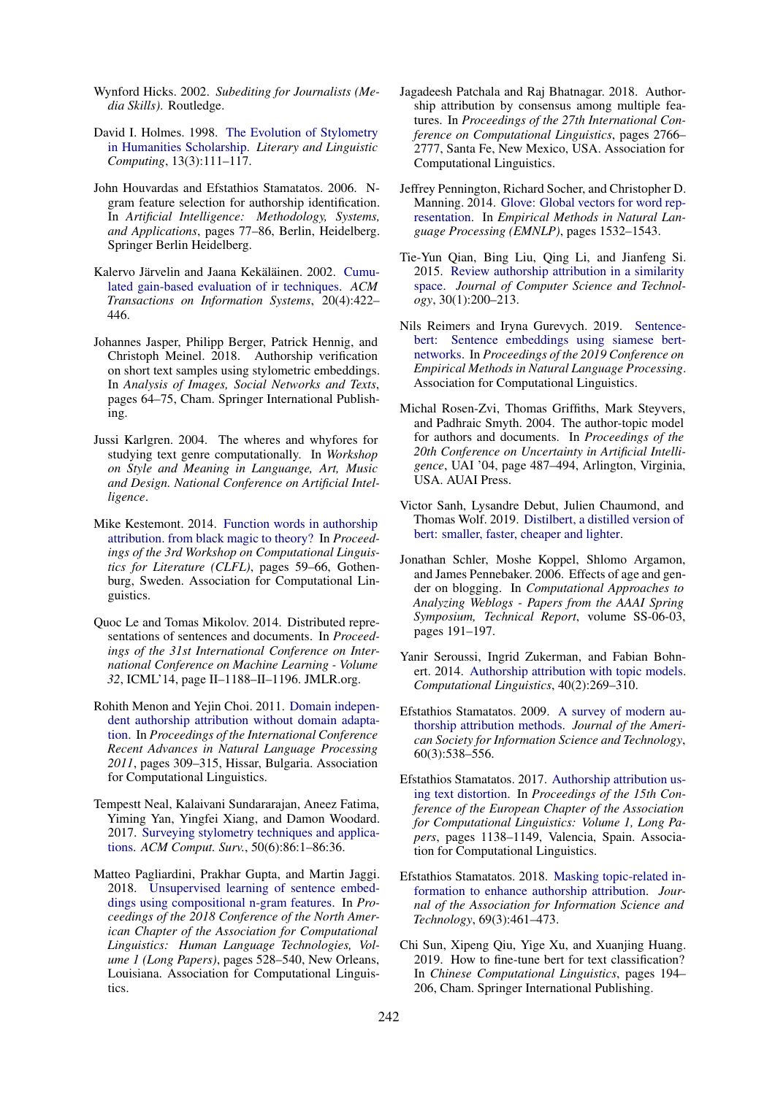- <span id="page-10-14"></span>Wynford Hicks. 2002. *Subediting for Journalists (Media Skills)*. Routledge.
- <span id="page-10-15"></span>David I. Holmes. 1998. [The Evolution of Stylometry](https://doi.org/10.1093/llc/13.3.111) [in Humanities Scholarship.](https://doi.org/10.1093/llc/13.3.111) *Literary and Linguistic Computing*, 13(3):111–117.
- <span id="page-10-9"></span>John Houvardas and Efstathios Stamatatos. 2006. Ngram feature selection for authorship identification. In *Artificial Intelligence: Methodology, Systems, and Applications*, pages 77–86, Berlin, Heidelberg. Springer Berlin Heidelberg.
- <span id="page-10-19"></span>Kalervo Järvelin and Jaana Kekäläinen. 2002. [Cumu](https://doi.org/10.1145/582415.582418)[lated gain-based evaluation of ir techniques.](https://doi.org/10.1145/582415.582418) *ACM Transactions on Information Systems*, 20(4):422– 446.
- <span id="page-10-2"></span>Johannes Jasper, Philipp Berger, Patrick Hennig, and Christoph Meinel. 2018. Authorship verification on short text samples using stylometric embeddings. In *Analysis of Images, Social Networks and Texts*, pages 64–75, Cham. Springer International Publishing.
- <span id="page-10-3"></span>Jussi Karlgren. 2004. The wheres and whyfores for studying text genre computationally. In *Workshop on Style and Meaning in Languange, Art, Music and Design. National Conference on Artificial Intelligence*.
- <span id="page-10-21"></span>Mike Kestemont. 2014. [Function words in authorship](https://doi.org/10.3115/v1/W14-0908) [attribution. from black magic to theory?](https://doi.org/10.3115/v1/W14-0908) In *Proceedings of the 3rd Workshop on Computational Linguistics for Literature (CLFL)*, pages 59–66, Gothenburg, Sweden. Association for Computational Linguistics.
- <span id="page-10-18"></span>Quoc Le and Tomas Mikolov. 2014. Distributed representations of sentences and documents. In *Proceedings of the 31st International Conference on International Conference on Machine Learning - Volume 32*, ICML'14, page II–1188–II–1196. JMLR.org.
- <span id="page-10-1"></span>Rohith Menon and Yejin Choi. 2011. [Domain indepen](https://www.aclweb.org/anthology/R11-1043)[dent authorship attribution without domain adapta](https://www.aclweb.org/anthology/R11-1043)[tion.](https://www.aclweb.org/anthology/R11-1043) In *Proceedings of the International Conference Recent Advances in Natural Language Processing 2011*, pages 309–315, Hissar, Bulgaria. Association for Computational Linguistics.
- <span id="page-10-5"></span>Tempestt Neal, Kalaivani Sundararajan, Aneez Fatima, Yiming Yan, Yingfei Xiang, and Damon Woodard. 2017. [Surveying stylometry techniques and applica](https://doi.org/10.1145/3132039)[tions.](https://doi.org/10.1145/3132039) *ACM Comput. Surv.*, 50(6):86:1–86:36.
- <span id="page-10-20"></span>Matteo Pagliardini, Prakhar Gupta, and Martin Jaggi. 2018. [Unsupervised learning of sentence embed](https://doi.org/10.18653/v1/N18-1049)[dings using compositional n-gram features.](https://doi.org/10.18653/v1/N18-1049) In *Proceedings of the 2018 Conference of the North American Chapter of the Association for Computational Linguistics: Human Language Technologies, Volume 1 (Long Papers)*, pages 528–540, New Orleans, Louisiana. Association for Computational Linguistics.
- <span id="page-10-4"></span>Jagadeesh Patchala and Raj Bhatnagar. 2018. Authorship attribution by consensus among multiple features. In *Proceedings of the 27th International Conference on Computational Linguistics*, pages 2766– 2777, Santa Fe, New Mexico, USA. Association for Computational Linguistics.
- <span id="page-10-17"></span>Jeffrey Pennington, Richard Socher, and Christopher D. Manning. 2014. [Glove: Global vectors for word rep](http://www.aclweb.org/anthology/D14-1162)[resentation.](http://www.aclweb.org/anthology/D14-1162) In *Empirical Methods in Natural Language Processing (EMNLP)*, pages 1532–1543.
- <span id="page-10-10"></span>Tie-Yun Qian, Bing Liu, Qing Li, and Jianfeng Si. 2015. [Review authorship attribution in a similarity](https://doi.org/10.1007/s11390-015-1513-6) [space.](https://doi.org/10.1007/s11390-015-1513-6) *Journal of Computer Science and Technology*, 30(1):200–213.
- <span id="page-10-13"></span>Nils Reimers and Iryna Gurevych. 2019. [Sentence](http://arxiv.org/abs/1908.10084)[bert: Sentence embeddings using siamese bert](http://arxiv.org/abs/1908.10084)[networks.](http://arxiv.org/abs/1908.10084) In *Proceedings of the 2019 Conference on Empirical Methods in Natural Language Processing*. Association for Computational Linguistics.
- <span id="page-10-8"></span>Michal Rosen-Zvi, Thomas Griffiths, Mark Steyvers, and Padhraic Smyth. 2004. The author-topic model for authors and documents. In *Proceedings of the 20th Conference on Uncertainty in Artificial Intelligence*, UAI '04, page 487–494, Arlington, Virginia, USA. AUAI Press.
- <span id="page-10-11"></span>Victor Sanh, Lysandre Debut, Julien Chaumond, and Thomas Wolf. 2019. [Distilbert, a distilled version of](http://arxiv.org/abs/1910.01108) [bert: smaller, faster, cheaper and lighter.](http://arxiv.org/abs/1910.01108)
- <span id="page-10-16"></span>Jonathan Schler, Moshe Koppel, Shlomo Argamon, and James Pennebaker. 2006. Effects of age and gender on blogging. In *Computational Approaches to Analyzing Weblogs - Papers from the AAAI Spring Symposium, Technical Report*, volume SS-06-03, pages 191–197.
- <span id="page-10-7"></span>Yanir Seroussi, Ingrid Zukerman, and Fabian Bohnert. 2014. [Authorship attribution with topic models.](https://doi.org/10.1162/COLI_a_00173) *Computational Linguistics*, 40(2):269–310.
- <span id="page-10-6"></span>Efstathios Stamatatos. 2009. [A survey of modern au](https://doi.org/10.1002/asi.21001)[thorship attribution methods.](https://doi.org/10.1002/asi.21001) *Journal of the American Society for Information Science and Technology*, 60(3):538–556.
- <span id="page-10-0"></span>Efstathios Stamatatos. 2017. [Authorship attribution us](https://www.aclweb.org/anthology/E17-1107)[ing text distortion.](https://www.aclweb.org/anthology/E17-1107) In *Proceedings of the 15th Conference of the European Chapter of the Association for Computational Linguistics: Volume 1, Long Papers*, pages 1138–1149, Valencia, Spain. Association for Computational Linguistics.
- <span id="page-10-22"></span>Efstathios Stamatatos. 2018. [Masking topic-related in](https://doi.org/10.1002/asi.23968)[formation to enhance authorship attribution.](https://doi.org/10.1002/asi.23968) *Journal of the Association for Information Science and Technology*, 69(3):461–473.
- <span id="page-10-12"></span>Chi Sun, Xipeng Qiu, Yige Xu, and Xuanjing Huang. 2019. How to fine-tune bert for text classification? In *Chinese Computational Linguistics*, pages 194– 206, Cham. Springer International Publishing.